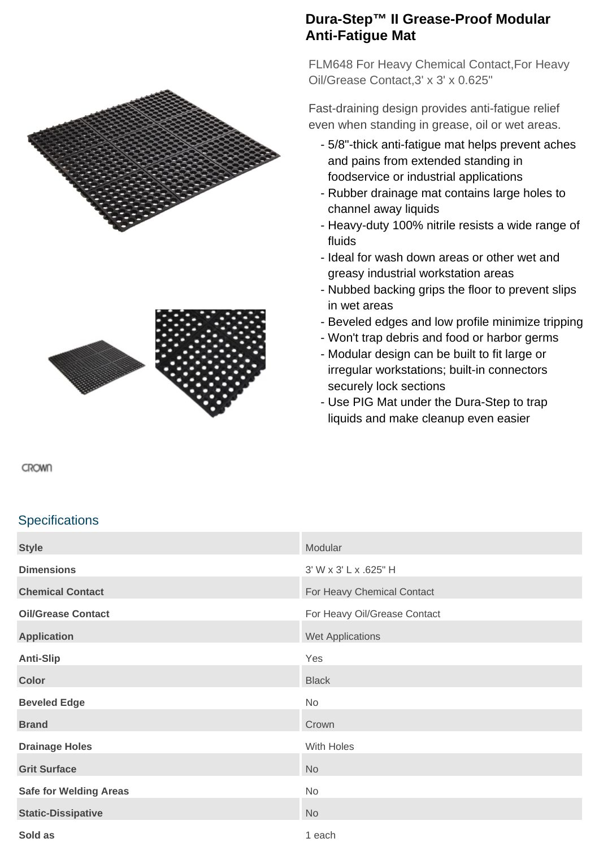



## **Dura-Step™ II Grease-Proof Modular Anti-Fatigue Mat**

FLM648 For Heavy Chemical Contact,For Heavy Oil/Grease Contact,3' x 3' x 0.625"

Fast-draining design provides anti-fatigue relief even when standing in grease, oil or wet areas.

- 5/8"-thick anti-fatigue mat helps prevent aches and pains from extended standing in foodservice or industrial applications
- Rubber drainage mat contains large holes to channel away liquids
- Heavy-duty 100% nitrile resists a wide range of fluids
- Ideal for wash down areas or other wet and greasy industrial workstation areas
- Nubbed backing grips the floor to prevent slips in wet areas
- Beveled edges and low profile minimize tripping
- Won't trap debris and food or harbor germs
- Modular design can be built to fit large or irregular workstations; built-in connectors securely lock sections
- Use PIG Mat under the Dura-Step to trap liquids and make cleanup even easier

CROWN

## **Specifications**

| <b>Style</b>                  | Modular                      |
|-------------------------------|------------------------------|
| <b>Dimensions</b>             | 3' W x 3' L x .625" H        |
| <b>Chemical Contact</b>       | For Heavy Chemical Contact   |
| <b>Oil/Grease Contact</b>     | For Heavy Oil/Grease Contact |
| <b>Application</b>            | Wet Applications             |
| <b>Anti-Slip</b>              | Yes                          |
| <b>Color</b>                  | <b>Black</b>                 |
| <b>Beveled Edge</b>           | No                           |
| <b>Brand</b>                  | Crown                        |
| <b>Drainage Holes</b>         | With Holes                   |
| <b>Grit Surface</b>           | No                           |
| <b>Safe for Welding Areas</b> | No                           |
| <b>Static-Dissipative</b>     | No                           |
| Sold as                       | 1 each                       |